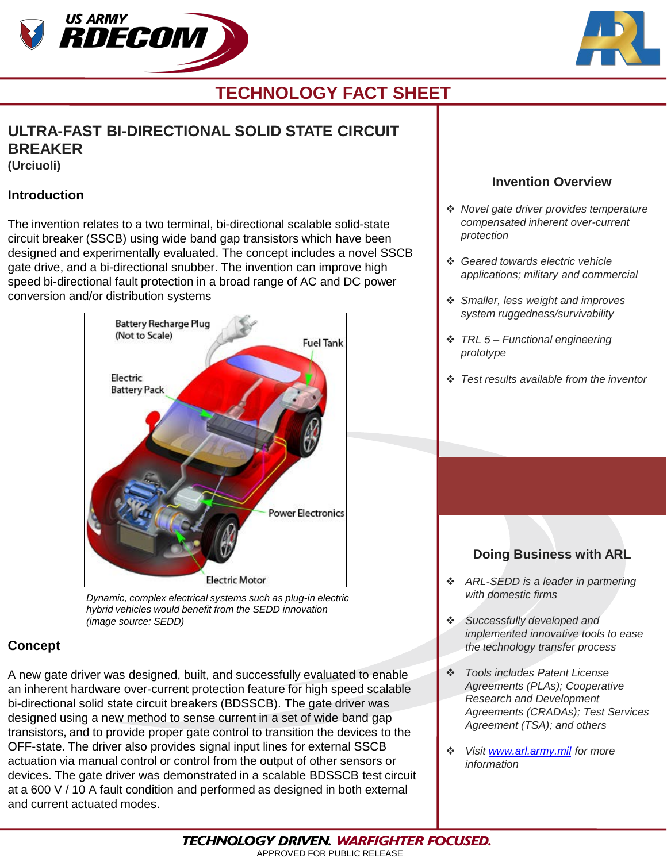



# **TECHNOLOGY FACT SHEET**

## **ULTRA-FAST BI-DIRECTIONAL SOLID STATE CIRCUIT BREAKER**

**(Urciuoli)**

### **Introduction**

The invention relates to a two terminal, bi-directional scalable solid-state circuit breaker (SSCB) using wide band gap transistors which have been designed and experimentally evaluated. The concept includes a novel SSCB gate drive, and a bi-directional snubber. The invention can improve high speed bi-directional fault protection in a broad range of AC and DC power conversion and/or distribution systems



*Dynamic, complex electrical systems such as plug-in electric hybrid vehicles would benefit from the SEDD innovation (image source: SEDD)*

### **Concept**

A new gate driver was designed, built, and successfully evaluated to enable an inherent hardware over-current protection feature for high speed scalable bi-directional solid state circuit breakers (BDSSCB). The gate driver was designed using a new method to sense current in a set of wide band gap transistors, and to provide proper gate control to transition the devices to the OFF-state. The driver also provides signal input lines for external SSCB actuation via manual control or control from the output of other sensors or devices. The gate driver was demonstrated in a scalable BDSSCB test circuit at a 600 V / 10 A fault condition and performed as designed in both external and current actuated modes.

### **Invention Overview**

- *Novel gate driver provides temperature compensated inherent over-current protection*
- *Geared towards electric vehicle applications; military and commercial*
- *Smaller, less weight and improves system ruggedness/survivability*
- *TRL 5 – Functional engineering prototype*
- *Test results available from the inventor*

### **Doing Business with ARL**

- *ARL-SEDD is a leader in partnering with domestic firms*
- *Successfully developed and implemented innovative tools to ease the technology transfer process*
- *Tools includes Patent License Agreements (PLAs); Cooperative Research and Development Agreements (CRADAs); Test Services Agreement (TSA); and others*
- *Visit [www.arl.army.mil](http://www.arl.army.mil/) for more information*